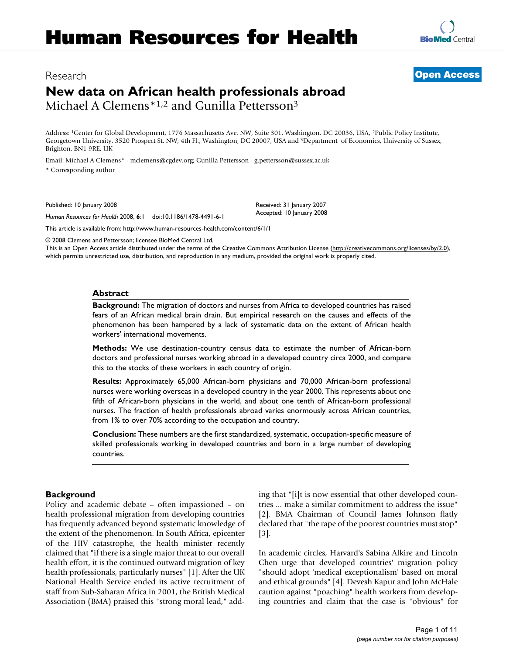# Research **[Open Access](http://www.biomedcentral.com/info/about/charter/)**

# **New data on African health professionals abroad** Michael A Clemens\*1,2 and Gunilla Pettersson3

Address: 1Center for Global Development, 1776 Massachusetts Ave. NW, Suite 301, Washington, DC 20036, USA, 2Public Policy Institute, Georgetown University, 3520 Prospect St. NW, 4th Fl., Washington, DC 20007, USA and 3Department of Economics, University of Sussex, Brighton, BN1 9RE, UK

Email: Michael A Clemens\* - mclemens@cgdev.org; Gunilla Pettersson - g.pettersson@sussex.ac.uk \* Corresponding author

Published: 10 January 2008

*Human Resources for Health* 2008, **6**:1 doi:10.1186/1478-4491-6-1

[This article is available from: http://www.human-resources-health.com/content/6/1/1](http://www.human-resources-health.com/content/6/1/1)

© 2008 Clemens and Pettersson; licensee BioMed Central Ltd.

This is an Open Access article distributed under the terms of the Creative Commons Attribution License [\(http://creativecommons.org/licenses/by/2.0\)](http://creativecommons.org/licenses/by/2.0), which permits unrestricted use, distribution, and reproduction in any medium, provided the original work is properly cited.

Received: 31 January 2007 Accepted: 10 January 2008

#### **Abstract**

**Background:** The migration of doctors and nurses from Africa to developed countries has raised fears of an African medical brain drain. But empirical research on the causes and effects of the phenomenon has been hampered by a lack of systematic data on the extent of African health workers' international movements.

**Methods:** We use destination-country census data to estimate the number of African-born doctors and professional nurses working abroad in a developed country circa 2000, and compare this to the stocks of these workers in each country of origin.

**Results:** Approximately 65,000 African-born physicians and 70,000 African-born professional nurses were working overseas in a developed country in the year 2000. This represents about one fifth of African-born physicians in the world, and about one tenth of African-born professional nurses. The fraction of health professionals abroad varies enormously across African countries, from 1% to over 70% according to the occupation and country.

**Conclusion:** These numbers are the first standardized, systematic, occupation-specific measure of skilled professionals working in developed countries and born in a large number of developing countries.

# **Background**

Policy and academic debate – often impassioned – on health professional migration from developing countries has frequently advanced beyond systematic knowledge of the extent of the phenomenon. In South Africa, epicenter of the HIV catastrophe, the health minister recently claimed that "if there is a single major threat to our overall health effort, it is the continued outward migration of key health professionals, particularly nurses" [1]. After the UK National Health Service ended its active recruitment of staff from Sub-Saharan Africa in 2001, the British Medical Association (BMA) praised this "strong moral lead," adding that "[i]t is now essential that other developed countries ... make a similar commitment to address the issue" [2]. BMA Chairman of Council James Johnson flatly declared that "the rape of the poorest countries must stop" [3].

In academic circles, Harvard's Sabina Alkire and Lincoln Chen urge that developed countries' migration policy "should adopt 'medical exceptionalism' based on moral and ethical grounds" [4]. Devesh Kapur and John McHale caution against "poaching" health workers from developing countries and claim that the case is "obvious" for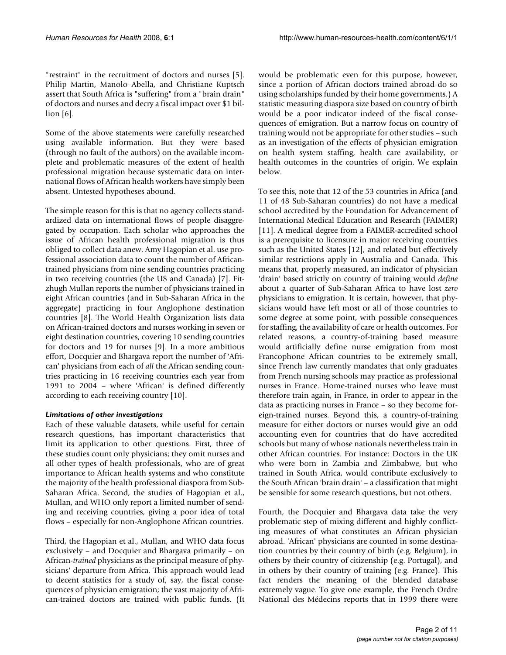"restraint" in the recruitment of doctors and nurses [5]. Philip Martin, Manolo Abella, and Christiane Kuptsch assert that South Africa is "suffering" from a "brain drain" of doctors and nurses and decry a fiscal impact over \$1 billion [6].

Some of the above statements were carefully researched using available information. But they were based (through no fault of the authors) on the available incomplete and problematic measures of the extent of health professional migration because systematic data on international flows of African health workers have simply been absent. Untested hypotheses abound.

The simple reason for this is that no agency collects standardized data on international flows of people disaggregated by occupation. Each scholar who approaches the issue of African health professional migration is thus obliged to collect data anew. Amy Hagopian et al. use professional association data to count the number of Africantrained physicians from nine sending countries practicing in two receiving countries (the US and Canada) [7]. Fitzhugh Mullan reports the number of physicians trained in eight African countries (and in Sub-Saharan Africa in the aggregate) practicing in four Anglophone destination countries [8]. The World Health Organization lists data on African-trained doctors and nurses working in seven or eight destination countries, covering 10 sending countries for doctors and 19 for nurses [9]. In a more ambitious effort, Docquier and Bhargava report the number of 'African' physicians from each of *all* the African sending countries practicing in 16 receiving countries each year from 1991 to 2004 – where 'African' is defined differently according to each receiving country [10].

# *Limitations of other investigations*

Each of these valuable datasets, while useful for certain research questions, has important characteristics that limit its application to other questions. First, three of these studies count only physicians; they omit nurses and all other types of health professionals, who are of great importance to African health systems and who constitute the majority of the health professional diaspora from Sub-Saharan Africa. Second, the studies of Hagopian et al., Mullan, and WHO only report a limited number of sending and receiving countries, giving a poor idea of total flows – especially for non-Anglophone African countries.

Third, the Hagopian et al., Mullan, and WHO data focus exclusively – and Docquier and Bhargava primarily – on African-*trained* physicians as the principal measure of physicians' departure from Africa. This approach would lead to decent statistics for a study of, say, the fiscal consequences of physician emigration; the vast majority of African-trained doctors are trained with public funds. (It would be problematic even for this purpose, however, since a portion of African doctors trained abroad do so using scholarships funded by their home governments.) A statistic measuring diaspora size based on country of birth would be a poor indicator indeed of the fiscal consequences of emigration. But a narrow focus on country of training would not be appropriate for other studies – such as an investigation of the effects of physician emigration on health system staffing, health care availability, or health outcomes in the countries of origin. We explain below.

To see this, note that 12 of the 53 countries in Africa (and 11 of 48 Sub-Saharan countries) do not have a medical school accredited by the Foundation for Advancement of International Medical Education and Research (FAIMER) [11]. A medical degree from a FAIMER-accredited school is a prerequisite to licensure in major receiving countries such as the United States [12], and related but effectively similar restrictions apply in Australia and Canada. This means that, properly measured, an indicator of physician 'drain' based strictly on country of training would *define* about a quarter of Sub-Saharan Africa to have lost *zero* physicians to emigration. It is certain, however, that physicians would have left most or all of those countries to some degree at some point, with possible consequences for staffing, the availability of care or health outcomes. For related reasons, a country-of-training based measure would artificially define nurse emigration from most Francophone African countries to be extremely small, since French law currently mandates that only graduates from French nursing schools may practice as professional nurses in France. Home-trained nurses who leave must therefore train again, in France, in order to appear in the data as practicing nurses in France – so they become foreign-trained nurses. Beyond this, a country-of-training measure for either doctors or nurses would give an odd accounting even for countries that do have accredited schools but many of whose nationals nevertheless train in other African countries. For instance: Doctors in the UK who were born in Zambia and Zimbabwe, but who trained in South Africa, would contribute exclusively to the South African 'brain drain' – a classification that might be sensible for some research questions, but not others.

Fourth, the Docquier and Bhargava data take the very problematic step of mixing different and highly conflicting measures of what constitutes an African physician abroad. 'African' physicians are counted in some destination countries by their country of birth (e.g. Belgium), in others by their country of citizenship (e.g. Portugal), and in others by their country of training (e.g. France). This fact renders the meaning of the blended database extremely vague. To give one example, the French Ordre National des Médecins reports that in 1999 there were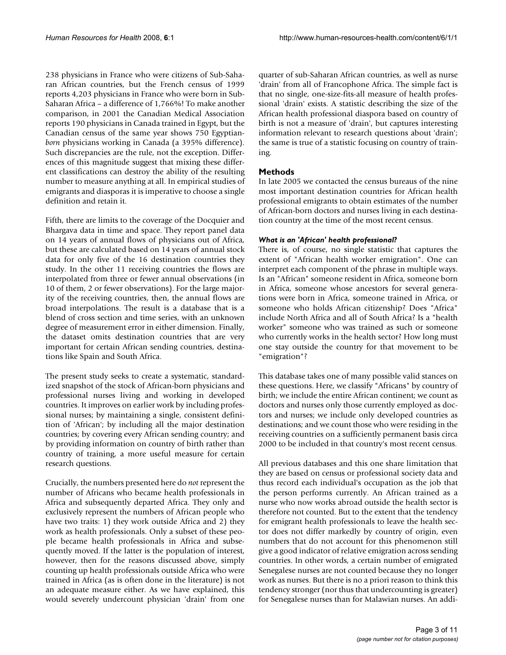238 physicians in France who were citizens of Sub-Saharan African countries, but the French census of 1999 reports 4,203 physicians in France who were born in Sub-Saharan Africa – a difference of 1,766%! To make another comparison, in 2001 the Canadian Medical Association reports 190 physicians in Canada trained in Egypt, but the Canadian census of the same year shows 750 Egyptian*born* physicians working in Canada (a 395% difference). Such discrepancies are the rule, not the exception. Differences of this magnitude suggest that mixing these different classifications can destroy the ability of the resulting number to measure anything at all. In empirical studies of emigrants and diasporas it is imperative to choose a single definition and retain it.

Fifth, there are limits to the coverage of the Docquier and Bhargava data in time and space. They report panel data on 14 years of annual flows of physicians out of Africa, but these are calculated based on 14 years of annual stock data for only five of the 16 destination countries they study. In the other 11 receiving countries the flows are interpolated from three or fewer annual observations (in 10 of them, 2 or fewer observations). For the large majority of the receiving countries, then, the annual flows are broad interpolations. The result is a database that is a blend of cross section and time series, with an unknown degree of measurement error in either dimension. Finally, the dataset omits destination countries that are very important for certain African sending countries, destinations like Spain and South Africa.

The present study seeks to create a systematic, standardized snapshot of the stock of African-born physicians and professional nurses living and working in developed countries. It improves on earlier work by including professional nurses; by maintaining a single, consistent definition of 'African'; by including all the major destination countries; by covering every African sending country; and by providing information on country of birth rather than country of training, a more useful measure for certain research questions.

Crucially, the numbers presented here do *not* represent the number of Africans who became health professionals in Africa and subsequently departed Africa. They only and exclusively represent the numbers of African people who have two traits: 1) they work outside Africa and 2) they work as health professionals. Only a subset of these people became health professionals in Africa and subsequently moved. If the latter is the population of interest, however, then for the reasons discussed above, simply counting up health professionals outside Africa who were trained in Africa (as is often done in the literature) is not an adequate measure either. As we have explained, this would severely undercount physician 'drain' from one quarter of sub-Saharan African countries, as well as nurse 'drain' from all of Francophone Africa. The simple fact is that no single, one-size-fits-all measure of health professional 'drain' exists. A statistic describing the size of the African health professional diaspora based on country of birth is not a measure of 'drain', but captures interesting information relevant to research questions about 'drain'; the same is true of a statistic focusing on country of training.

# **Methods**

In late 2005 we contacted the census bureaus of the nine most important destination countries for African health professional emigrants to obtain estimates of the number of African-born doctors and nurses living in each destination country at the time of the most recent census.

#### *What is an 'African' health professional?*

There is, of course, no single statistic that captures the extent of "African health worker emigration". One can interpret each component of the phrase in multiple ways. Is an "African" someone resident in Africa, someone born in Africa, someone whose ancestors for several generations were born in Africa, someone trained in Africa, or someone who holds African citizenship? Does "Africa" include North Africa and all of South Africa? Is a "health worker" someone who was trained as such or someone who currently works in the health sector? How long must one stay outside the country for that movement to be "emigration"?

This database takes one of many possible valid stances on these questions. Here, we classify "Africans" by country of birth; we include the entire African continent; we count as doctors and nurses only those currently employed as doctors and nurses; we include only developed countries as destinations; and we count those who were residing in the receiving countries on a sufficiently permanent basis circa 2000 to be included in that country's most recent census.

All previous databases and this one share limitation that they are based on census or professional society data and thus record each individual's occupation as the job that the person performs currently. An African trained as a nurse who now works abroad outside the health sector is therefore not counted. But to the extent that the tendency for emigrant health professionals to leave the health sector does not differ markedly by country of origin, even numbers that do not account for this phenomenon still give a good indicator of relative emigration across sending countries. In other words, a certain number of emigrated Senegalese nurses are not counted because they no longer work as nurses. But there is no a priori reason to think this tendency stronger (nor thus that undercounting is greater) for Senegalese nurses than for Malawian nurses. An addi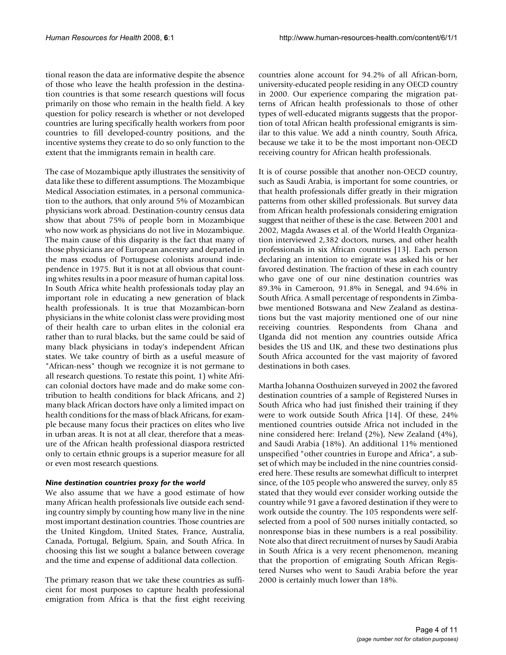tional reason the data are informative despite the absence of those who leave the health profession in the destination countries is that some research questions will focus primarily on those who remain in the health field. A key question for policy research is whether or not developed countries are luring specifically health workers from poor countries to fill developed-country positions, and the incentive systems they create to do so only function to the extent that the immigrants remain in health care.

The case of Mozambique aptly illustrates the sensitivity of data like these to different assumptions. The Mozambique Medical Association estimates, in a personal communication to the authors, that only around 5% of Mozambican physicians work abroad. Destination-country census data show that about 75% of people born in Mozambique who now work as physicians do not live in Mozambique. The main cause of this disparity is the fact that many of those physicians are of European ancestry and departed in the mass exodus of Portuguese colonists around independence in 1975. But it is not at all obvious that counting whites results in a poor measure of human capital loss. In South Africa white health professionals today play an important role in educating a new generation of black health professionals. It is true that Mozambican-born physicians in the white colonist class were providing most of their health care to urban elites in the colonial era rather than to rural blacks, but the same could be said of many black physicians in today's independent African states. We take country of birth as a useful measure of "African-ness" though we recognize it is not germane to all research questions. To restate this point, 1) white African colonial doctors have made and do make some contribution to health conditions for black Africans, and 2) many black African doctors have only a limited impact on health conditions for the mass of black Africans, for example because many focus their practices on elites who live in urban areas. It is not at all clear, therefore that a measure of the African health professional diaspora restricted only to certain ethnic groups is a superior measure for all or even most research questions.

# *Nine destination countries proxy for the world*

We also assume that we have a good estimate of how many African health professionals live outside each sending country simply by counting how many live in the nine most important destination countries. Those countries are the United Kingdom, United States, France, Australia, Canada, Portugal, Belgium, Spain, and South Africa. In choosing this list we sought a balance between coverage and the time and expense of additional data collection.

The primary reason that we take these countries as sufficient for most purposes to capture health professional emigration from Africa is that the first eight receiving countries alone account for 94.2% of all African-born, university-educated people residing in any OECD country in 2000. Our experience comparing the migration patterns of African health professionals to those of other types of well-educated migrants suggests that the proportion of total African health professional emigrants is similar to this value. We add a ninth country, South Africa, because we take it to be the most important non-OECD receiving country for African health professionals.

It is of course possible that another non-OECD country, such as Saudi Arabia, is important for some countries, or that health professionals differ greatly in their migration patterns from other skilled professionals. But survey data from African health professionals considering emigration suggest that neither of these is the case. Between 2001 and 2002, Magda Awases et al. of the World Health Organization interviewed 2,382 doctors, nurses, and other health professionals in six African countries [13]. Each person declaring an intention to emigrate was asked his or her favored destination. The fraction of these in each country who gave one of our nine destination countries was 89.3% in Cameroon, 91.8% in Senegal, and 94.6% in South Africa. A small percentage of respondents in Zimbabwe mentioned Botswana and New Zealand as destinations but the vast majority mentioned one of our nine receiving countries. Respondents from Ghana and Uganda did not mention any countries outside Africa besides the US and UK, and these two destinations plus South Africa accounted for the vast majority of favored destinations in both cases.

Martha Johanna Oosthuizen surveyed in 2002 the favored destination countries of a sample of Registered Nurses in South Africa who had just finished their training if they were to work outside South Africa [14]. Of these, 24% mentioned countries outside Africa not included in the nine considered here: Ireland (2%), New Zealand (4%), and Saudi Arabia (18%). An additional 11% mentioned unspecified "other countries in Europe and Africa", a subset of which may be included in the nine countries considered here. These results are somewhat difficult to interpret since, of the 105 people who answered the survey, only 85 stated that they would ever consider working outside the country while 91 gave a favored destination if they were to work outside the country. The 105 respondents were selfselected from a pool of 500 nurses initially contacted, so nonresponse bias in these numbers is a real possibility. Note also that direct recruitment of nurses by Saudi Arabia in South Africa is a very recent phenomenon, meaning that the proportion of emigrating South African Registered Nurses who went to Saudi Arabia before the year 2000 is certainly much lower than 18%.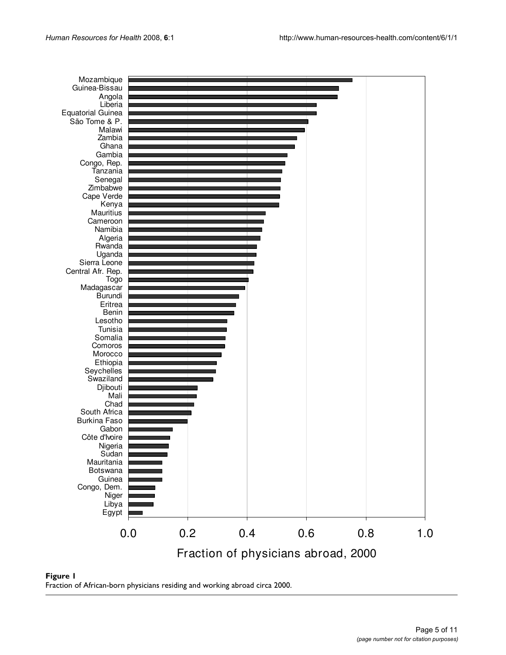

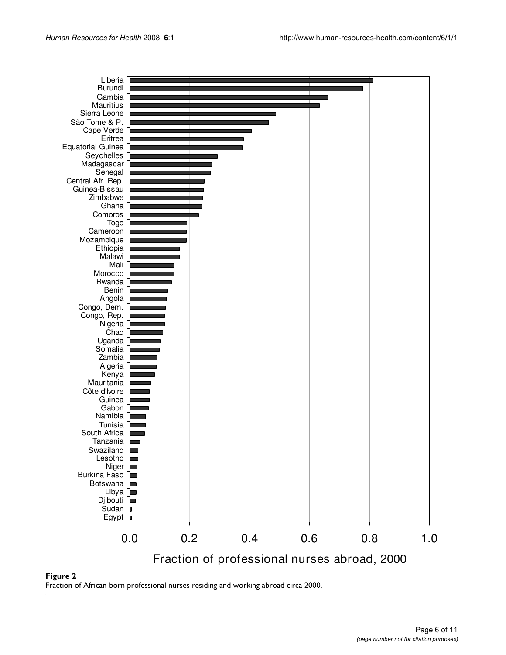

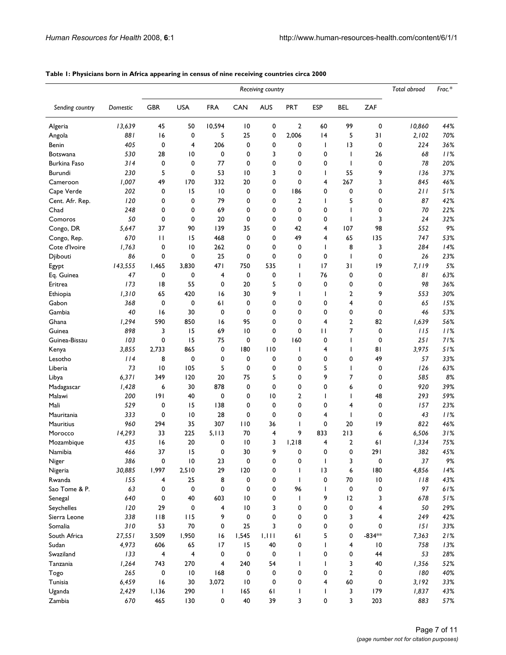|                  |          |            | <b>Total abroad</b>     | Frac.*          |                 |            |                |                 |                 |                 |        |     |
|------------------|----------|------------|-------------------------|-----------------|-----------------|------------|----------------|-----------------|-----------------|-----------------|--------|-----|
| Sending country  | Domestic | <b>GBR</b> | <b>USA</b>              | <b>FRA</b>      | <b>CAN</b>      | <b>AUS</b> | PRT            | ESP             | BEL             | ZAF             |        |     |
| Algeria          | 13,639   | 45         | 50                      | 10,594          | 10              | 0          | $\overline{2}$ | 60              | 99              | 0               | 10,860 | 44% |
| Angola           | 881      | 16         | 0                       | 5               | 25              | 0          | 2,006          | 4               | 5               | 31              | 2,102  | 70% |
| Benin            | 405      | 0          | 4                       | 206             | 0               | 0          | 0              | T               | $\overline{13}$ | 0               | 224    | 36% |
| <b>Botswana</b>  | 530      | 28         | 10                      | 0               | 0               | 3          | 0              | 0               | I.              | 26              | 68     | 11% |
| Burkina Faso     | 314      | 0          | 0                       | 77              | 0               | 0          | 0              | 0               | T               | 0               | 78     | 20% |
| Burundi          | 230      | 5          | 0                       | 53              | 10              | 3          | 0              | T               | 55              | 9               | 136    | 37% |
| Cameroon         | 1,007    | 49         | 170                     | 332             | 20              | 0          | 0              | 4               | 267             | 3               | 845    | 46% |
| Cape Verde       | 202      | 0          | 15                      | $\overline{10}$ | 0               | 0          | 186            | 0               | 0               | 0               | 211    | 51% |
| Cent. Afr. Rep.  | 120      | 0          | 0                       | 79              | 0               | 0          | 2              | T               | 5               | 0               | 87     | 42% |
| Chad             | 248      | 0          | 0                       | 69              | 0               | 0          | 0              | 0               | ı               | 0               | 70     | 22% |
| Comoros          | 50       | 0          | 0                       | 20              | 0               | 0          | 0              | 0               | I.              | 3               | 24     | 32% |
| Congo, DR        | 5,647    | 37         | 90                      | 139             | 35              | 0          | 42             | 4               | 107             | 98              | 552    | 9%  |
| Congo, Rep.      | 670      | П          | 15                      | 468             | 0               | 0          | 49             | 4               | 65              | 135             | 747    | 53% |
| Cote d'Ivoire    | 1,763    | 0          | 10                      | 262             | 0               | 0          | 0              | T               | 8               | 3               | 284    | 14% |
| Djibouti         | 86       | 0          | 0                       | 25              | 0               | 0          | 0              | 0               | I.              | 0               | 26     | 23% |
| Egypt            | 143,555  | 1,465      | 3,830                   | 471             | 750             | 535        | L              | 17              | 31              | 19              | 7,119  | 5%  |
| Eq. Guinea       | 47       | 0          | 0                       | 4               | 0               | 0          | L              | 76              | 0               | 0               | 81     | 63% |
| Eritrea          | 173      | 18         | 55                      | 0               | 20              | 5          | 0              | 0               | 0               | 0               | 98     | 36% |
| Ethiopia         | 1,310    | 65         | 420                     | 16              | 30              | 9          | L              | T               | $\overline{2}$  | 9               | 553    | 30% |
| Gabon            | 368      | 0          | 0                       | 61              | 0               | 0          | 0              | 0               | 4               | 0               | 65     | 15% |
| Gambia           | 40       | 16         | 30                      | 0               | 0               | 0          | 0              | 0               | 0               | 0               | 46     | 53% |
| Ghana            | 1,294    | 590        | 850                     | 16              | 95              | 0          | 0              | 4               | $\overline{2}$  | 82              | 1,639  | 56% |
| Guinea           | 898      | 3          | 15                      | 69              | 10              | 0          | 0              | П               | 7               | 0               | 115    | 11% |
| Guinea-Bissau    | 103      | 0          | 15                      | 75              | 0               | 0          | 160            | 0               | I               | 0               | 251    | 71% |
| Kenya            | 3,855    | 2,733      | 865                     | 0               | 180             | 110        | I              | $\overline{4}$  | ı               | 81              | 3,975  | 51% |
| Lesotho          | 114      | 8          | 0                       | 0               | 0               | 0          | 0              | 0               | 0               | 49              | 57     | 33% |
| Liberia          | 73       | 10         | 105                     | 5               | 0               | 0          | 0              | 5               | ı               | 0               | 126    | 63% |
| Libya            | 6,371    | 349        | 120                     | 20              | 75              | 5          | 0              | 9               | 7               | 0               | 585    | 8%  |
| Madagascar       | 1,428    | 6          | 30                      | 878             | 0               | 0          | 0              | 0               | 6               | 0               | 920    | 39% |
| Malawi           | 200      | 191        | 40                      | 0               | 0               | 10         | 2              | T               | ı               | 48              | 293    | 59% |
| Mali             | 529      | 0          | 15                      | 138             | 0               | 0          | 0              | 0               | 4               | 0               | 157    | 23% |
| Mauritania       | 333      | 0          | $\overline{10}$         | 28              | 0               | 0          | 0              | 4               | I.              | 0               | 43     | 11% |
| <b>Mauritius</b> | 960      | 294        | 35                      | 307             | 110             | 36         | L              | 0               | 20              | 19              | 822    | 46% |
| Morocco          | 14,293   | 33         | 225                     | 5,113           | 70              | 4          | 9              | 833             | 213             | 6               | 6,506  | 31% |
| Mozambique       | 435      | 16         | 20                      | 0               | 10              | 3          | 1,218          | 4               | 2               | 61              | 1,334  | 75% |
| Namibia          | 466      | 37         | 15                      | 0               | 30              | 9          | 0              | 0               | 0               | 291             | 382    | 45% |
| Niger            | 386      | 0          | 10                      | 23              | 0               | 0          | 0              | $\mathbf{I}$    | 3               | 0               | 37     | 9%  |
| Nigeria          | 30,885   | 1,997      | 2,510                   | 29              | 120             | 0          | T              | $\overline{13}$ | 6               | 180             | 4,856  | 14% |
| Rwanda           | 155      | 4          | 25                      | 8               | 0               | 0          | T              | 0               | 70              | $\overline{10}$ | 118    | 43% |
| Sao Tome & P.    | 63       | 0          | 0                       | 0               | 0               | 0          | 96             | T               | 0               | 0               | 97     | 61% |
| Senegal          | 640      | 0          | 40                      | 603             | 10              | 0          | L              | 9               | $\overline{2}$  | 3               | 678    | 51% |
| Seychelles       | 120      | 29         | 0                       | 4               | $\overline{10}$ | 3          | 0              | 0               | 0               | 4               | 50     | 29% |
| Sierra Leone     | 338      | 118        | 115                     | 9               | 0               | 0          | 0              | 0               | 3               | 4               | 249    | 42% |
| Somalia          | 310      | 53         | 70                      | $\mathbf 0$     | 25              | 3          | 0              | 0               | 0               | 0               | 151    | 33% |
| South Africa     | 27,551   | 3,509      | 1,950                   | 16              | 1,545           | 1,111      | 61             | 5               | 0               | $-834**$        | 7,363  | 21% |
| Sudan            | 4,973    | 606        | 65                      | 17              | 15              | 40         | 0              | T               | 4               | 10              | 758    | 13% |
| Swaziland        | 133      | 4          | $\overline{\mathbf{4}}$ | 0               | 0               | 0          | L              | 0               | 0               | 44              | 53     | 28% |
| Tanzania         | 1,264    | 743        | 270                     | 4               | 240             | 54         | L              | T               | 3               | 40              | 1,356  | 52% |
| Togo             | 265      | 0          | $\overline{10}$         | 168             | 0               | 0          | 0              | 0               | $\overline{2}$  | 0               | 180    | 40% |
| Tunisia          | 6,459    | 16         | 30                      | 3,072           | 0               | 0          | 0              | 4               | 60              | 0               | 3,192  | 33% |
| Uganda           | 2,429    | 1,136      | 290                     | L               | 165             | 61         | L              | T               | 3               | 179             | 1,837  | 43% |
| Zambia           | 670      | 465        | 130                     | $\mathbf 0$     | 40              | 39         | 3              | 0               | 3               | 203             | 883    | 57% |

# **Table 1: Physicians born in Africa appearing in census of nine receiving countries circa 2000**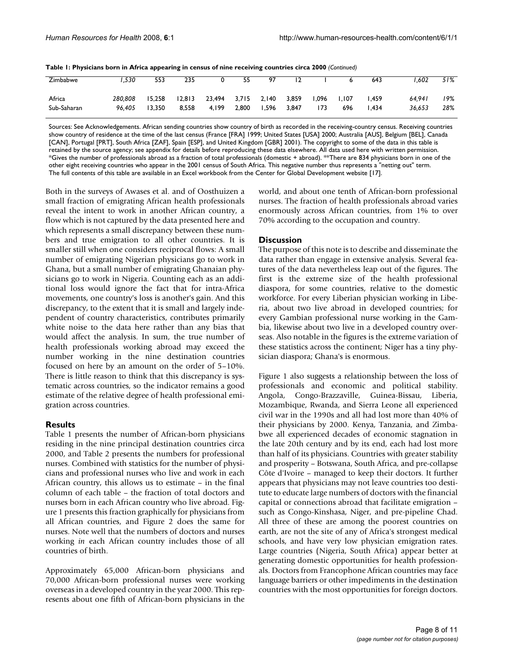| Zimbabwe    | 1.530   | 553    | 235    |        | 55          | 97    | 12    |       |       | 643   | .602   | 51% |
|-------------|---------|--------|--------|--------|-------------|-------|-------|-------|-------|-------|--------|-----|
| Africa      | 280,808 | 15.258 | 12.813 | 23.494 | 3,715 2,140 |       | 3.859 | 1.096 | 1.107 | 1.459 | 64.941 | 19% |
| Sub-Saharan | 96.405  | 13.350 | 8.558  | 4.199  | 2,800       | 1.596 | 3.847 | 173   | 696   | 1.434 | 36.653 | 28% |

| Table 1: Physicians born in Africa appearing in census of nine receiving countries circa 2000 (Continued) |  |  |  |
|-----------------------------------------------------------------------------------------------------------|--|--|--|
|-----------------------------------------------------------------------------------------------------------|--|--|--|

Sources: See Acknowledgements. African sending countries show country of birth as recorded in the receiving-country census. Receiving countries show country of residence at the time of the last census (France [FRA] 1999; United States [USA] 2000; Australia [AUS], Belgium [BEL], Canada [CAN], Portugal [PRT], South Africa [ZAF], Spain [ESP], and United Kingdom [GBR] 2001). The copyright to some of the data in this table is retained by the source agency; see appendix for details before reproducing these data elsewhere. All data used here with written permission. \*Gives the number of professionals abroad as a fraction of total professionals (domestic + abroad). \*\*There are 834 physicians born in one of the other eight receiving countries who appear in the 2001 census of South Africa. This negative number thus represents a "netting out" term. The full contents of this table are available in an Excel workbook from the Center for Global Development website [17].

Both in the surveys of Awases et al. and of Oosthuizen a small fraction of emigrating African health professionals reveal the intent to work in another African country, a flow which is not captured by the data presented here and which represents a small discrepancy between these numbers and true emigration to all other countries. It is smaller still when one considers reciprocal flows: A small number of emigrating Nigerian physicians go to work in Ghana, but a small number of emigrating Ghanaian physicians go to work in Nigeria. Counting each as an additional loss would ignore the fact that for intra-Africa movements, one country's loss is another's gain. And this discrepancy, to the extent that it is small and largely independent of country characteristics, contributes primarily white noise to the data here rather than any bias that would affect the analysis. In sum, the true number of health professionals working abroad may exceed the number working in the nine destination countries focused on here by an amount on the order of 5–10%. There is little reason to think that this discrepancy is systematic across countries, so the indicator remains a good estimate of the relative degree of health professional emigration across countries.

#### **Results**

Table 1 presents the number of African-born physicians residing in the nine principal destination countries circa 2000, and Table 2 presents the numbers for professional nurses. Combined with statistics for the number of physicians and professional nurses who live and work in each African country, this allows us to estimate – in the final column of each table – the fraction of total doctors and nurses born in each African country who live abroad. Figure 1 presents this fraction graphically for physicians from all African countries, and Figure 2 does the same for nurses. Note well that the numbers of doctors and nurses working *in* each African country includes those of all countries of birth.

Approximately 65,000 African-born physicians and 70,000 African-born professional nurses were working overseas in a developed country in the year 2000. This represents about one fifth of African-born physicians in the world, and about one tenth of African-born professional nurses. The fraction of health professionals abroad varies enormously across African countries, from 1% to over 70% according to the occupation and country.

#### **Discussion**

The purpose of this note is to describe and disseminate the data rather than engage in extensive analysis. Several features of the data nevertheless leap out of the figures. The first is the extreme size of the health professional diaspora, for some countries, relative to the domestic workforce. For every Liberian physician working in Liberia, about two live abroad in developed countries; for every Gambian professional nurse working in the Gambia, likewise about two live in a developed country overseas. Also notable in the figures is the extreme variation of these statistics across the continent; Niger has a tiny physician diaspora; Ghana's is enormous.

Figure 1 also suggests a relationship between the loss of professionals and economic and political stability. Angola, Congo-Brazzaville, Guinea-Bissau, Liberia, Mozambique, Rwanda, and Sierra Leone all experienced civil war in the 1990s and all had lost more than 40% of their physicians by 2000. Kenya, Tanzania, and Zimbabwe all experienced decades of economic stagnation in the late 20th century and by its end, each had lost more than half of its physicians. Countries with greater stability and prosperity – Botswana, South Africa, and pre-collapse Côte d'Ivoire – managed to keep their doctors. It further appears that physicians may not leave countries too destitute to educate large numbers of doctors with the financial capital or connections abroad that facilitate emigration – such as Congo-Kinshasa, Niger, and pre-pipeline Chad. All three of these are among the poorest countries on earth, are not the site of any of Africa's strongest medical schools, and have very low physician emigration rates. Large countries (Nigeria, South Africa) appear better at generating domestic opportunities for health professionals. Doctors from Francophone African countries may face language barriers or other impediments in the destination countries with the most opportunities for foreign doctors.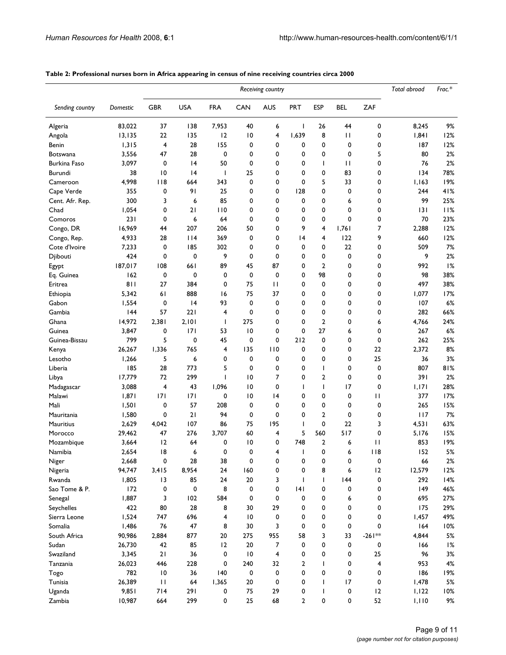|                  |          | Receiving country       |                 |              |                 |                 |                |              |       |              |        | Frac.* |
|------------------|----------|-------------------------|-----------------|--------------|-----------------|-----------------|----------------|--------------|-------|--------------|--------|--------|
| Sending country  | Domestic | <b>GBR</b>              | <b>USA</b>      | <b>FRA</b>   | CAN             | <b>AUS</b>      | <b>PRT</b>     | <b>ESP</b>   | BEL   | ZAF          |        |        |
| Algeria          | 83,022   | 37                      | 138             | 7,953        | 40              | 6               | ı              | 26           | 44    | 0            | 8,245  | 9%     |
| Angola           | 13,135   | 22                      | 135             | 12           | 10              | 4               | 1,639          | 8            | П     | 0            | 1,841  | 12%    |
| Benin            | 1,315    | $\overline{\mathbf{4}}$ | 28              | 155          | 0               | 0               | 0              | 0            | 0     | 0            | 187    | 12%    |
| <b>Botswana</b>  | 3,556    | 47                      | 28              | 0            | 0               | 0               | 0              | 0            | 0     | 5            | 80     | 2%     |
| Burkina Faso     | 3,097    | 0                       | 4               | 50           | 0               | 0               | 0              | I            | П     | 0            | 76     | 2%     |
| Burundi          | 38       | $\overline{10}$         | $\overline{14}$ | J.           | 25              | 0               | 0              | 0            | 83    | 0            | 134    | 78%    |
| Cameroon         | 4,998    | 118                     | 664             | 343          | 0               | 0               | 0              | 5            | 33    | 0            | 1,163  | 19%    |
| Cape Verde       | 355      | 0                       | 91              | 25           | 0               | 0               | 128            | 0            | 0     | 0            | 244    | 41%    |
| Cent. Afr. Rep.  | 300      | 3                       | 6               | 85           | 0               | 0               | 0              | 0            | 6     | 0            | 99     | 25%    |
| Chad             | 1,054    | 0                       | 21              | 110          | 0               | 0               | 0              | 0            | 0     | 0            | 131    | 11%    |
| Comoros          | 231      | 0                       | 6               | 64           | 0               | 0               | 0              | 0            | 0     | 0            | 70     | 23%    |
| Congo, DR        | 16,969   | 44                      | 207             | 206          | 50              | 0               | 9              | 4            | 1,761 | 7            | 2,288  | 12%    |
| Congo, Rep.      | 4,933    | 28                      | l 14            | 369          | 0               | 0               | 4              | 4            | 122   | 9            | 660    | 12%    |
| Cote d'Ivoire    | 7,233    | 0                       | 185             | 302          | 0               | 0               | 0              | 0            | 22    | 0            | 509    | 7%     |
| Djibouti         | 424      | 0                       | 0               | 9            | 0               | 0               | 0              | 0            | 0     | 0            | 9      | 2%     |
| Egypt            | 187,017  | 108                     | 66 I            | 89           | 45              | 87              | 0              | 2            | 0     | 0            | 992    | 1%     |
| Eq. Guinea       | 162      | 0                       | 0               | 0            | 0               | 0               | 0              | 98           | 0     | 0            | 98     | 38%    |
| Eritrea          | 811      | 27                      | 384             | 0            | 75              | $\mathbf{I}$    | 0              | 0            | 0     | 0            | 497    | 38%    |
| Ethiopia         | 5,342    | 61                      | 888             | 16           | 75              | 37              | 0              | 0            | 0     | 0            | 1,077  | 17%    |
| Gabon            | 1,554    | 0                       | 4               | 93           | 0               | 0               | 0              | 0            | 0     | 0            | 107    | 6%     |
| Gambia           | 144      | 57                      | 221             | 4            | 0               | 0               | 0              | 0            | 0     | 0            | 282    | 66%    |
| Ghana            | 14,972   | 2,381                   | 2,101           | $\mathbf{I}$ | 275             | 0               | 0              | 2            | 0     | 6            | 4,766  | 24%    |
| Guinea           | 3,847    | 0                       | 7               | 53           | 10              | 0               | 0              | 27           | 6     | 0            | 267    | 6%     |
| Guinea-Bissau    | 799      | 5                       | 0               | 45           | 0               | 0               | 212            | 0            | 0     | $\mathbf 0$  | 262    | 25%    |
| Kenya            | 26,267   | 1,336                   | 765             | 4            | 135             | 110             | 0              | 0            | 0     | 22           | 2,372  | 8%     |
| Lesotho          | 1,266    | 5                       | 6               | 0            | 0               | 0               | 0              | 0            | 0     | 25           | 36     | 3%     |
| Liberia          | 185      | 28                      | 773             | 5            | 0               | 0               | 0              | I.           | 0     | 0            | 807    | 81%    |
| Libya            | 17,779   | 72                      | 299             | I            | $\overline{10}$ | 7               | 0              | 2            | 0     | $\mathbf 0$  | 391    | 2%     |
| Madagascar       | 3,088    | 4                       | 43              | 1,096        | $\overline{10}$ | 0               | I.             | T            | 17    | 0            | 1,171  | 28%    |
| Malawi           | 1,871    | 7                       | 171             | 0            | $\overline{10}$ | $\overline{14}$ | 0              | 0            | 0     | П            | 377    | 17%    |
| Mali             | 1,501    | $\mathbf 0$             | 57              | 208          | 0               | 0               | 0              | 0            | 0     | $\mathbf 0$  | 265    | 15%    |
| Mauritania       | 1,580    | $\mathbf 0$             | 21              | 94           | 0               | 0               | 0              | 2            | 0     | 0            | 117    | 7%     |
| <b>Mauritius</b> | 2,629    | 4,042                   | 107             | 86           | 75              | 195             | $\mathbf{I}$   | 0            | 22    | 3            | 4,531  | 63%    |
| Morocco          | 29,462   | 47                      | 276             | 3,707        | 60              | 4               | 5              | 560          | 517   | 0            | 5,176  | 15%    |
| Mozambique       | 3,664    | 12                      | 64              | 0            | 10              | 0               | 748            | 2            | 6     | $\mathbf{H}$ | 853    | 19%    |
| Namibia          | 2,654    | 8                       | 6               | 0            | 0               | 4               |                | 0            | 6     | 118          | 152    | $5%$   |
| Niger            | 2,668    | 0                       | 28              | 38           | 0               | 0               | 0              | 0            | 0     | $\mathbf 0$  | 66     | 2%     |
| Nigeria          | 94,747   | 3,415                   | 8,954           | 24           | 160             | 0               | 0              | 8            | 6     | 12           | 12,579 | 12%    |
| Rwanda           | 1,805    | 13                      | 85              | 24           | 20              | 3               | $\mathbf{I}$   | $\mathbf{I}$ | 144   | 0            | 292    | 14%    |
| Sao Tome & P.    | 172      | 0                       | 0               | 8            | 0               | 0               | 4              | 0            | 0     | 0            | 149    | 46%    |
| Senegal          | 1,887    | 3                       | 102             | 584          | 0               | 0               | 0              | 0            | 6     | 0            | 695    | 27%    |
| Seychelles       | 422      | 80                      | 28              | 8            | 30              | 29              | 0              | 0            | 0     | 0            | 175    | 29%    |
| Sierra Leone     | 1,524    | 747                     | 696             | 4            | $\overline{10}$ | 0               | 0              | 0            | 0     | 0            | 1,457  | 49%    |
| Somalia          | 1,486    | 76                      | 47              | 8            | 30              | 3               | 0              | 0            | 0     | $\mathbf 0$  | 164    | 10%    |
| South Africa     | 90,986   | 2,884                   | 877             | 20           | 275             | 955             | 58             | 3            | 33    | $-261**$     | 4,844  | 5%     |
| Sudan            | 26,730   | 42                      | 85              | 2            | 20              | 7               | 0              | 0            | 0     | 0            | 166    | 1%     |
| Swaziland        | 3,345    | 21                      | 36              | 0            | 10              | 4               | 0              | 0            | 0     | 25           | 96     | $3\%$  |
| Tanzania         | 26,023   | 446                     | 228             | 0            | 240             | 32              | $\overline{2}$ |              | 0     | 4            | 953    | 4%     |
| Togo             | 782      | $\overline{10}$         | 36              | 140          | 0               | 0               | 0              | 0            | 0     | 0            | 186    | 19%    |
| Tunisia          | 26,389   | $\mathbf{H}$            | 64              | 1,365        | 20              | 0               | 0              | ı            | 17    | 0            | 1,478  | 5%     |
| Uganda           | 9,851    | 714                     | 291             | 0            | 75              | 29              | 0              |              | 0     | 12           | 1,122  | 10%    |
| Zambia           | 10,987   | 664                     | 299             | 0            | 25              | 68              | $\overline{2}$ | 0            | 0     | 52           | 1,110  | 9%     |

# **Table 2: Professional nurses born in Africa appearing in census of nine receiving countries circa 2000**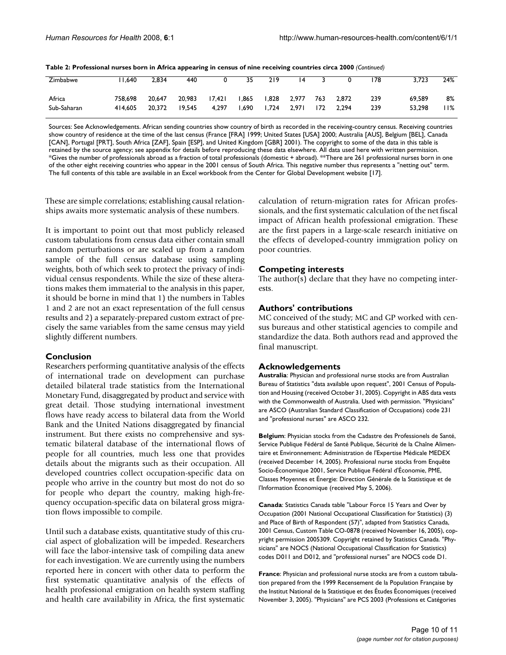| Zimbabwe              | $\vert$ 1.640      | 2.834            | 440              | 0               | 35             | 219            | $\overline{14}$ | $-3$         | 0              | 178        | 3.723            | 24%        |
|-----------------------|--------------------|------------------|------------------|-----------------|----------------|----------------|-----------------|--------------|----------------|------------|------------------|------------|
| Africa<br>Sub-Saharan | 758,698<br>414.605 | 20,647<br>20,372 | 20,983<br>19.545 | 17.421<br>4,297 | 1.865<br>1.690 | 1,828<br>1,724 | 2,977<br>2,971  | - 763<br>172 | 2.872<br>2.294 | 239<br>239 | 69.589<br>53.298 | 8%<br>l I% |

| Table 2: Professional nurses born in Africa appearing in census of nine receiving countries circa 2000 <i>(Continued)</i> |  |  |  |  |
|---------------------------------------------------------------------------------------------------------------------------|--|--|--|--|
|---------------------------------------------------------------------------------------------------------------------------|--|--|--|--|

Sources: See Acknowledgements. African sending countries show country of birth as recorded in the receiving-country census. Receiving countries show country of residence at the time of the last census (France [FRA] 1999; United States [USA] 2000; Australia [AUS], Belgium [BEL], Canada [CAN], Portugal [PRT], South Africa [ZAF], Spain [ESP], and United Kingdom [GBR] 2001). The copyright to some of the data in this table is retained by the source agency; see appendix for details before reproducing these data elsewhere. All data used here with written permission. \*Gives the number of professionals abroad as a fraction of total professionals (domestic + abroad). \*\*There are 261 professional nurses born in one of the other eight receiving countries who appear in the 2001 census of South Africa. This negative number thus represents a "netting out" term. The full contents of this table are available in an Excel workbook from the Center for Global Development website [17].

These are simple correlations; establishing causal relationships awaits more systematic analysis of these numbers.

It is important to point out that most publicly released custom tabulations from census data either contain small random perturbations or are scaled up from a random sample of the full census database using sampling weights, both of which seek to protect the privacy of individual census respondents. While the size of these alterations makes them immaterial to the analysis in this paper, it should be borne in mind that 1) the numbers in Tables 1 and 2 are not an exact representation of the full census results and 2) a separately-prepared custom extract of precisely the same variables from the same census may yield slightly different numbers.

#### **Conclusion**

Researchers performing quantitative analysis of the effects of international trade on development can purchase detailed bilateral trade statistics from the International Monetary Fund, disaggregated by product and service with great detail. Those studying international investment flows have ready access to bilateral data from the World Bank and the United Nations disaggregated by financial instrument. But there exists no comprehensive and systematic bilateral database of the international flows of people for all countries, much less one that provides details about the migrants such as their occupation. All developed countries collect occupation-specific data on people who arrive in the country but most do not do so for people who depart the country, making high-frequency occupation-specific data on bilateral gross migration flows impossible to compile.

Until such a database exists, quantitative study of this crucial aspect of globalization will be impeded. Researchers will face the labor-intensive task of compiling data anew for each investigation. We are currently using the numbers reported here in concert with other data to perform the first systematic quantitative analysis of the effects of health professional emigration on health system staffing and health care availability in Africa, the first systematic calculation of return-migration rates for African professionals, and the first systematic calculation of the net fiscal impact of African health professional emigration. These are the first papers in a large-scale research initiative on the effects of developed-country immigration policy on poor countries.

#### **Competing interests**

The author(s) declare that they have no competing interests.

# **Authors' contributions**

MC conceived of the study; MC and GP worked with census bureaus and other statistical agencies to compile and standardize the data. Both authors read and approved the final manuscript.

#### **Acknowledgements**

**Australia**: Physician and professional nurse stocks are from Australian Bureau of Statistics "data available upon request", 2001 Census of Population and Housing (received October 31, 2005). Copyright in ABS data vests with the Commonwealth of Australia. Used with permission. "Physicians" are ASCO (Australian Standard Classification of Occupations) code 231 and "professional nurses" are ASCO 232.

**Belgium**: Physician stocks from the Cadastre des Professionels de Santé, Service Publique Fédéral de Santé Publique, Sécurité de la Chaîne Alimentaire et Environnement: Administration de l'Expertise Médicale MEDEX (received December 14, 2005). Professional nurse stocks from Enquête Socio-Économique 2001, Service Publique Fédéral d'Économie, PME, Classes Moyennes et Énergie: Direction Générale de la Statistique et de l'Information Économique (received May 5, 2006).

**Canada**: Statistics Canada table "Labour Force 15 Years and Over by Occupation (2001 National Occupational Classification for Statistics) (3) and Place of Birth of Respondent (57)", adapted from Statistics Canada, 2001 Census, Custom Table CO-0878 (received November 16, 2005), copyright permission 2005309. Copyright retained by Statistics Canada. "Physicians" are NOCS (National Occupational Classification for Statistics) codes D011 and D012, and "professional nurses" are NOCS code D1.

**France**: Physician and professional nurse stocks are from a custom tabulation prepared from the 1999 Recensement de la Population Française by the Institut National de la Statistique et des Études Économiques (received November 3, 2005). "Physicians" are PCS 2003 (Professions et Catégories